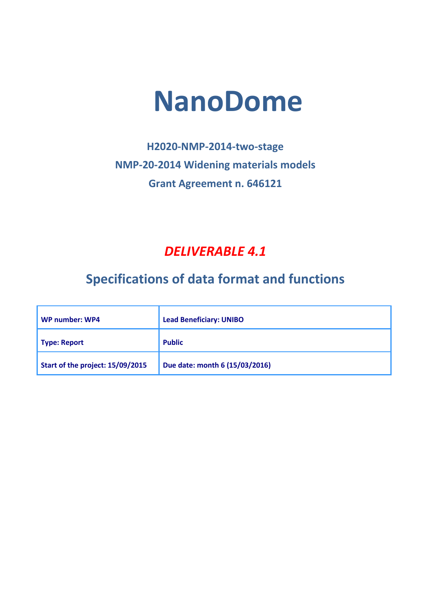# **NanoDome**

# **H2020-NMP-2014-two-stage NMP-20-2014 Widening materials models Grant Agreement n. 646121**

### *DELIVERABLE 4.1*

# **Specifications of data format and functions**

| WP number: WP4                   | <b>Lead Beneficiary: UNIBO</b> |  |
|----------------------------------|--------------------------------|--|
| <b>Type: Report</b>              | <b>Public</b>                  |  |
| Start of the project: 15/09/2015 | Due date: month 6 (15/03/2016) |  |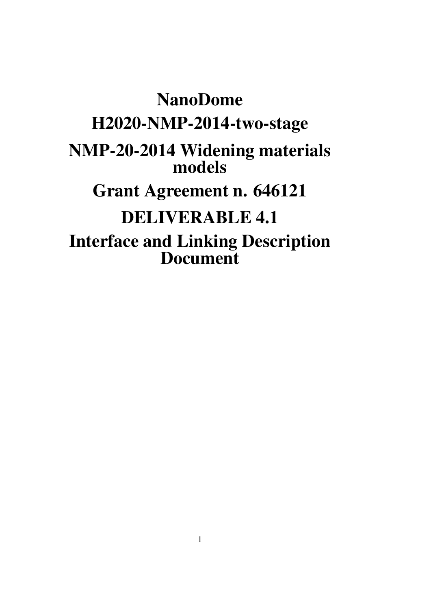# NanoDome H2020-NMP-2014-two-stage NMP-20-2014 Widening materials models Grant Agreement n. 646121 DELIVERABLE 4.1 Interface and Linking Description Document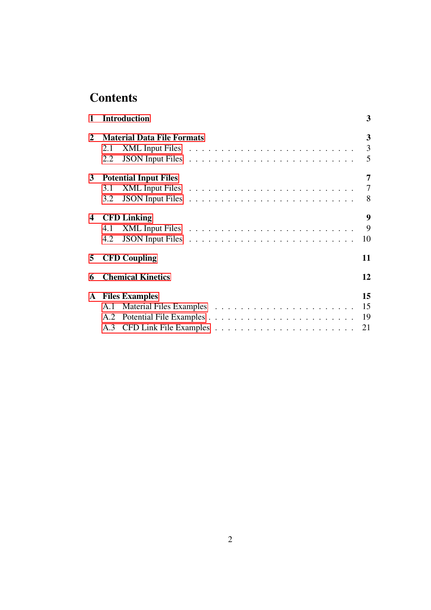## **Contents**

|              | 1 Introduction                    | 3                |
|--------------|-----------------------------------|------------------|
| $\mathbf{2}$ | <b>Material Data File Formats</b> | $\mathbf{3}$     |
|              | 2.1                               |                  |
|              | 2.2                               | 5                |
|              | 3 Potential Input Files           | 7                |
|              |                                   |                  |
|              |                                   |                  |
|              | 4 CFD Linking                     | $\boldsymbol{9}$ |
|              |                                   |                  |
|              | 4.2                               | 10               |
|              | 5 CFD Coupling                    | 11               |
| 6            | <b>Chemical Kinetics</b>          | 12               |
|              | <b>A</b> Files Examples           | 15               |
|              |                                   |                  |
|              |                                   | 19               |
|              |                                   |                  |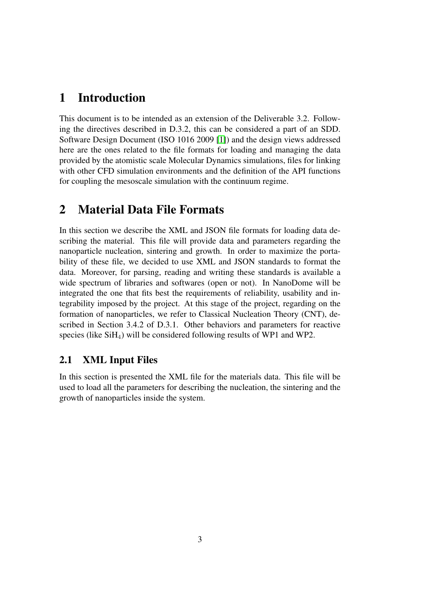#### 1 Introduction

This document is to be intended as an extension of the Deliverable 3.2. Following the directives described in D.3.2, this can be considered a part of an SDD. Software Design Document (ISO 1016 2009 [1]) and the design views addressed here are the ones related to the file formats for loading and managing the data provided by the atomistic scale Molecular Dynamics simulations, files for linking with other CFD simulation environments and the definition of the API functions for coupling the mesoscale simulation with the continuum regime.

#### 2 Material Data File Formats

In this section we describe the XML and JSON file formats for loading data describing the material. This file will provide data and parameters regarding the nanoparticle nucleation, sintering and growth. In order to maximize the portability of these file, we decided to use XML and JSON standards to format the data. Moreover, for parsing, reading and writing these standards is available a wide spectrum of libraries and softwares (open or not). In NanoDome will be integrated the one that fits best the requirements of reliability, usability and integrability imposed by the project. At this stage of the project, regarding on the formation of nanoparticles, we refer to Classical Nucleation Theory (CNT), described in Section 3.4.2 of D.3.1. Other behaviors and parameters for reactive species (like  $SiH_4$ ) will be considered following results of WP1 and WP2.

#### 2.1 XML Input Files

In this section is presented the XML file for the materials data. This file will be used to load all the parameters for describing the nucleation, the sintering and the growth of nanoparticles inside the system.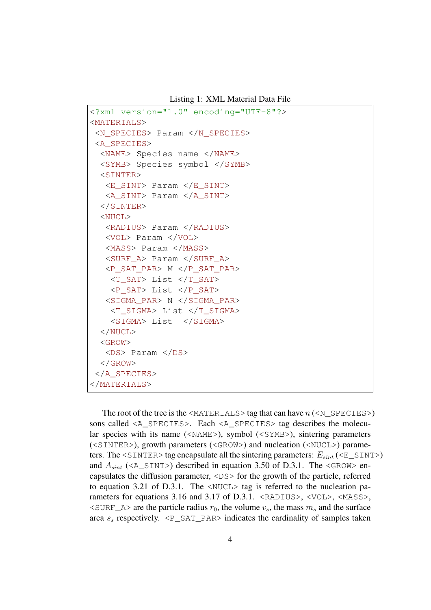Listing 1: XML Material Data File

```
<?xml version="1.0" encoding="UTF-8"?>
<MATERIALS>
<N_SPECIES> Param </N_SPECIES>
<A_SPECIES>
 <NAME> Species name </NAME>
 <SYMB> Species symbol </SYMB>
 <SINTER><E_SINT> Param </E_SINT>
  <A_SINT> Param </A_SINT>
 </SINTER>
 <NUCL>
  <RADIUS> Param </RADIUS>
  <VOL> Param </VOL>
  <MASS> Param </MASS>
  <SURF_A> Param </SURF_A>
  <P_SAT_PAR> M </P_SAT_PAR>
   <T_SAT> List </T_SAT>
   <P_SAT> List </P_SAT>
  <SIGMA_PAR> N </SIGMA_PAR>
    <T_SIGMA> List </T_SIGMA>
    <SIGMA> List </SIGMA>
 </NUCL>
 <GROW>
  <DS> Param </DS>
 </GROW>
</A_SPECIES>
</MATERIALS>
```
The root of the tree is the  $\triangle$ MATERIALS $>$  tag that can have  $n$  ( $\triangle$ N\_SPECIES $>$ ) sons called <A\_SPECIES>. Each <A\_SPECIES> tag describes the molecular species with its name (<NAME>), symbol (<SYMB>), sintering parameters (<SINTER>), growth parameters (<GROW>) and nucleation (<NUCL>) parameters. The  $\leq$ SINTER> tag encapsulate all the sintering parameters:  $E_{\text{sint}}$  ( $\leq$ E\_SINT>) and  $A_{\text{sint}}$  (<A\_SINT>) described in equation 3.50 of D.3.1. The <GROW> encapsulates the diffusion parameter, <DS> for the growth of the particle, referred to equation 3.21 of D.3.1. The <NUCL> tag is referred to the nucleation parameters for equations 3.16 and 3.17 of D.3.1. <RADIUS>, <VOL>, <MASS>,  $\leq$ SURF\_A> are the particle radius  $r_0$ , the volume  $v_s$ , the mass  $m_s$  and the surface area  $s_s$  respectively.  $\leq P\_SAT\_PAR$  indicates the cardinality of samples taken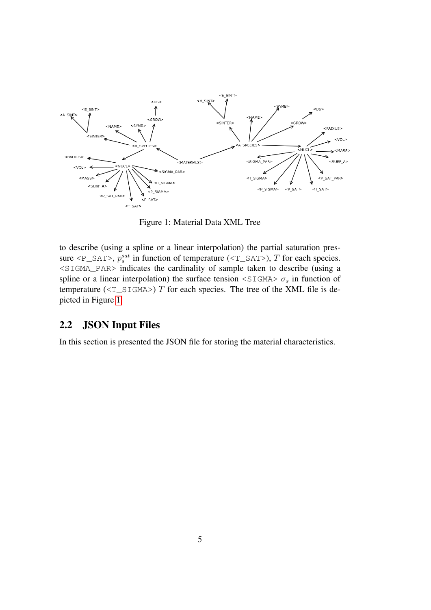

Figure 1: Material Data XML Tree

to describe (using a spline or a linear interpolation) the partial saturation pressure  $\langle P\_SAT \rangle$ ,  $p_s^{sat}$  in function of temperature ( $\langle T\_SAT \rangle$ ), T for each species. <SIGMA\_PAR> indicates the cardinality of sample taken to describe (using a spline or a linear interpolation) the surface tension  $\leq$ SIGMA $> \sigma_s$  in function of temperature ( $(T_SIGMA>$ ) T for each species. The tree of the XML file is depicted in Figure 1.

#### 2.2 JSON Input Files

In this section is presented the JSON file for storing the material characteristics.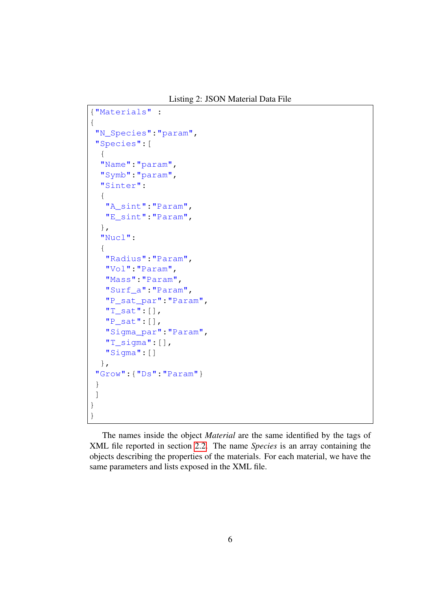Listing 2: JSON Material Data File

```
{"Materials" :
{
 "N_Species":"param",
 "Species":[
  {
  "Name":"param",
  "Symb":"param",
  "Sinter":
  {
   "A_sint":"Param",
  "E_sint":"Param",
  },
  "Nucl":
  {
   "Radius":"Param",
   "Vol":"Param",
   "Mass":"Param",
   "Surf_a":"Param",
   "P_sat_par":"Param",
   "T_sat":[],
   "P_sat":[],
   "Sigma_par":"Param",
   "T_sigma":[],
   "Sigma":[]
  },
 "Grow":{"Ds":"Param"}
}
]
}
}
```
The names inside the object *Material* are the same identified by the tags of XML file reported in section 2.2. The name *Species* is an array containing the objects describing the properties of the materials. For each material, we have the same parameters and lists exposed in the XML file.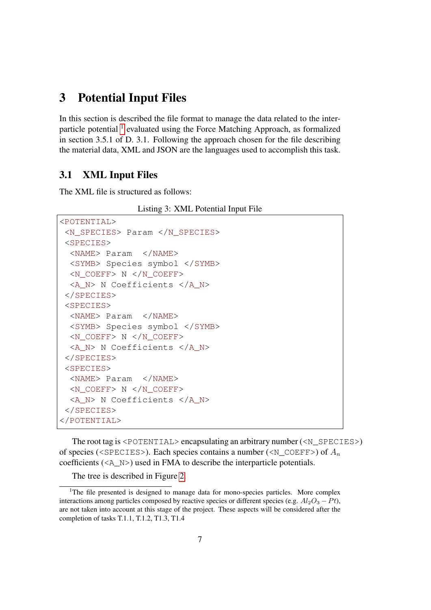#### 3 Potential Input Files

In this section is described the file format to manage the data related to the interparticle potential <sup>1</sup> evaluated using the Force Matching Approach, as formalized in section 3.5.1 of D. 3.1. Following the approach chosen for the file describing the material data, XML and JSON are the languages used to accomplish this task.

#### 3.1 XML Input Files

The XML file is structured as follows:

Listing 3: XML Potential Input File

```
<POTENTIAL>
<N_SPECIES> Param </N_SPECIES>
<SPECIES>
  <NAME> Param </NAME>
  <SYMB> Species symbol </SYMB>
  <N_COEFF> N </N_COEFF>
  <A_N> N Coefficients </A_N>
 </SPECIES>
 <SPECIES>
  <NAME> Param </NAME>
 <SYMB> Species symbol </SYMB>
 <N_COEFF> N </N_COEFF>
  <A_N> N Coefficients </A_N>
</SPECIES>
<SPECIES>
  <NAME> Param </NAME>
  \langle N COEFF> N \langle N COEFF>
  <A_N> N Coefficients </A_N>
</SPECIES>
</POTENTIAL>
```
The root tag is <POTENTIAL> encapsulating an arbitrary number (<N\_SPECIES>) of species (<SPECIES>). Each species contains a number (<N\_COEFF>) of  $A_n$ coefficients (<A\_N>) used in FMA to describe the interparticle potentials.

The tree is described in Figure 2.

<sup>&</sup>lt;sup>1</sup>The file presented is designed to manage data for mono-species particles. More complex interactions among particles composed by reactive species or different species (e.g.  $Al_2O_3 - Pt$ ), are not taken into account at this stage of the project. These aspects will be considered after the completion of tasks T.1.1, T.1.2, T1.3, T1.4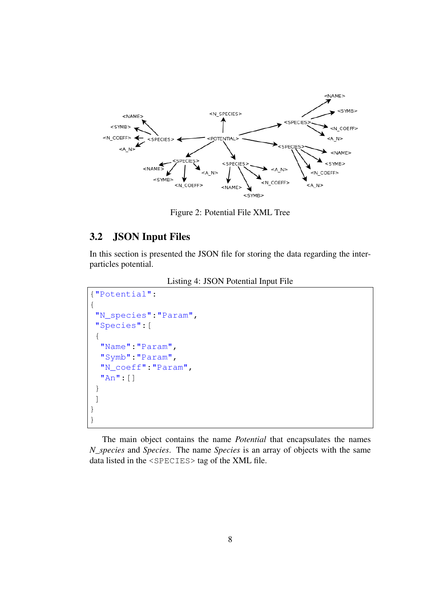

Figure 2: Potential File XML Tree

#### 3.2 JSON Input Files

In this section is presented the JSON file for storing the data regarding the interparticles potential.

```
Listing 4: JSON Potential Input File
```

```
{"Potential":
{
 "N_species":"Param",
 "Species":[
 {
  "Name":"Param",
  "Symb":"Param",
  "N_coeff":"Param",
  "An":[]
 }
]
}
}
```
The main object contains the name *Potential* that encapsulates the names *N\_species* and *Species*. The name *Species* is an array of objects with the same data listed in the <SPECIES> tag of the XML file.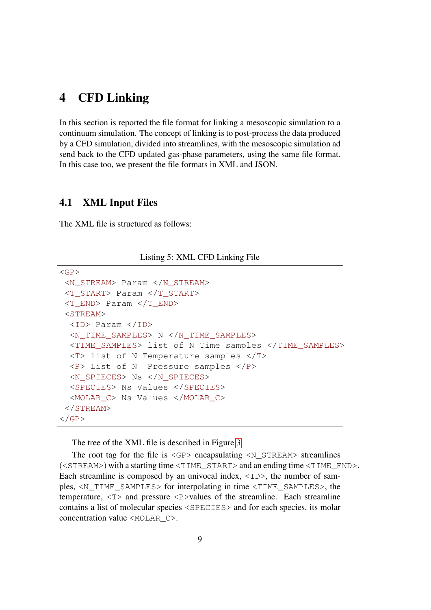#### 4 CFD Linking

In this section is reported the file format for linking a mesoscopic simulation to a continuum simulation. The concept of linking is to post-process the data produced by a CFD simulation, divided into streamlines, with the mesoscopic simulation ad send back to the CFD updated gas-phase parameters, using the same file format. In this case too, we present the file formats in XML and JSON.

#### 4.1 XML Input Files

The XML file is structured as follows:

Listing 5: XML CFD Linking File

```
\langleGP><N_STREAM> Param </N_STREAM>
<T_START> Param </T_START>
<T_END> Param </T_END>
<STREAM>
 <ID> Param </ID>
 <N_TIME_SAMPLES> N </N_TIME_SAMPLES>
 <TIME_SAMPLES> list of N Time samples </TIME_SAMPLES>
 <T> list of N Temperature samples </T>
 <P> List of N Pressure samples </P>
 <N_SPIECES> Ns </N_SPIECES>
 <SPECIES> Ns Values </SPECIES>
 <MOLAR_C> Ns Values </MOLAR_C>
</STREAM>
\langle/GP>
```
The tree of the XML file is described in Figure 3.

The root tag for the file is  $\langle$ GP> encapsulating  $\langle N_{\text{S}}$  STREAM> streamlines (<STREAM>) with a starting time <TIME\_START> and an ending time <TIME\_END>. Each streamline is composed by an univocal index,  $\langle$ ID>, the number of samples, <N\_TIME\_SAMPLES> for interpolating in time <TIME\_SAMPLES>, the temperature,  $\langle T \rangle$  and pressure  $\langle P \rangle$  values of the streamline. Each streamline contains a list of molecular species <SPECIES> and for each species, its molar concentration value <MOLAR C>.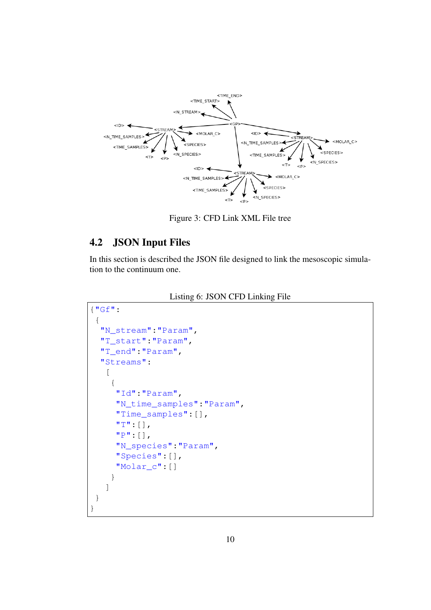

Figure 3: CFD Link XML File tree

#### 4.2 JSON Input Files

In this section is described the JSON file designed to link the mesoscopic simulation to the continuum one.

|  |  | Listing 6: JSON CFD Linking File |
|--|--|----------------------------------|
|--|--|----------------------------------|

```
{"Gf":
 {
  "N_stream":"Param",
  "T_start":"Param",
  "T_end":"Param",
  "Streams":
   \sqrt{2}{
     "Id":"Param",
     "N_time_samples":"Param",
     "Time_samples":[],
     "T":[],
     "P":[],
     "N_species":"Param",
     "Species":[],
     "Molar_c":[]
    }
   ]
 }
}
```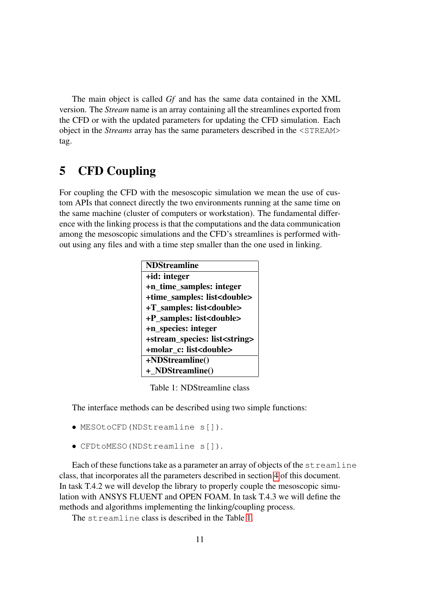The main object is called *Gf* and has the same data contained in the XML version. The *Stream* name is an array containing all the streamlines exported from the CFD or with the updated parameters for updating the CFD simulation. Each object in the *Streams* array has the same parameters described in the <STREAM> tag.

#### 5 CFD Coupling

For coupling the CFD with the mesoscopic simulation we mean the use of custom APIs that connect directly the two environments running at the same time on the same machine (cluster of computers or workstation). The fundamental difference with the linking process is that the computations and the data communication among the mesoscopic simulations and the CFD's streamlines is performed without using any files and with a time step smaller than the one used in linking.

| <b>NDStreamline</b>                     |  |  |
|-----------------------------------------|--|--|
| +id: integer                            |  |  |
| +n_time_samples: integer                |  |  |
| +time_samples: list <double></double>   |  |  |
| +T_samples: list <double></double>      |  |  |
| +P_samples: list <double></double>      |  |  |
| +n_species: integer                     |  |  |
| +stream_species: list <string></string> |  |  |
| +molar_c: list <double></double>        |  |  |
| +NDStreamline()                         |  |  |
| + NDStreamline()                        |  |  |

Table 1: NDStreamline class

The interface methods can be described using two simple functions:

- MESOtoCFD(NDStreamline s[]).
- CFDtoMESO(NDStreamline s[]).

Each of these functions take as a parameter an array of objects of the  $\text{streamline}$ class, that incorporates all the parameters described in section 4 of this document. In task T.4.2 we will develop the library to properly couple the mesoscopic simulation with ANSYS FLUENT and OPEN FOAM. In task T.4.3 we will define the methods and algorithms implementing the linking/coupling process.

The streamline class is described in the Table 1.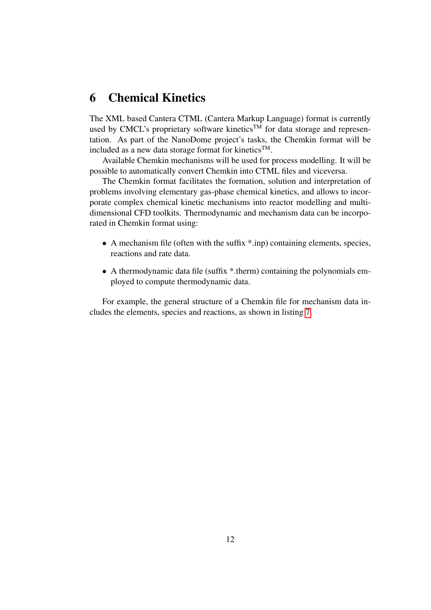#### 6 Chemical Kinetics

The XML based Cantera CTML (Cantera Markup Language) format is currently used by CMCL's proprietary software kinetics<sup>TM</sup> for data storage and representation. As part of the NanoDome project's tasks, the Chemkin format will be included as a new data storage format for kinetics<sup>TM</sup>.

Available Chemkin mechanisms will be used for process modelling. It will be possible to automatically convert Chemkin into CTML files and viceversa.

The Chemkin format facilitates the formation, solution and interpretation of problems involving elementary gas-phase chemical kinetics, and allows to incorporate complex chemical kinetic mechanisms into reactor modelling and multidimensional CFD toolkits. Thermodynamic and mechanism data can be incorporated in Chemkin format using:

- A mechanism file (often with the suffix  $\ast$  inp) containing elements, species, reactions and rate data.
- A thermodynamic data file (suffix \*.therm) containing the polynomials employed to compute thermodynamic data.

For example, the general structure of a Chemkin file for mechanism data includes the elements, species and reactions, as shown in listing 7.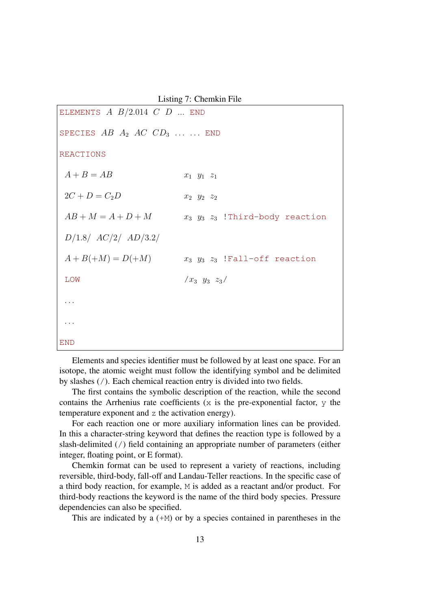Listing 7: Chemkin File ELEMENTS  $A$   $B/2.014$   $C$   $D$  ... END SPECIES  $AB$   $A_2$   $AC$   $CD_3$  ... ... END REACTIONS  $A + B = AB$   $x_1 y_1 z_1$  $2C + D = C_2D$   $x_2$   $y_2$   $z_2$  $AB + M = A + D + M$   $x_3$   $y_3$   $z_3$  !Third-body reaction D/1.8/ AC/2/ AD/3.2/  $A + B( + M) = D( + M)$   $x_3$   $y_3$   $z_3$  !Fall-off reaction  $\text{LOW}$  / $x_3$   $y_3$   $z_3$ / . . . . . . END

Elements and species identifier must be followed by at least one space. For an isotope, the atomic weight must follow the identifying symbol and be delimited by slashes (/). Each chemical reaction entry is divided into two fields.

The first contains the symbolic description of the reaction, while the second contains the Arrhenius rate coefficients  $(x$  is the pre-exponential factor,  $y$  the temperature exponent and z the activation energy).

For each reaction one or more auxiliary information lines can be provided. In this a character-string keyword that defines the reaction type is followed by a slash-delimited (/) field containing an appropriate number of parameters (either integer, floating point, or E format).

Chemkin format can be used to represent a variety of reactions, including reversible, third-body, fall-off and Landau-Teller reactions. In the specific case of a third body reaction, for example, M is added as a reactant and/or product. For third-body reactions the keyword is the name of the third body species. Pressure dependencies can also be specified.

This are indicated by a  $(+M)$  or by a species contained in parentheses in the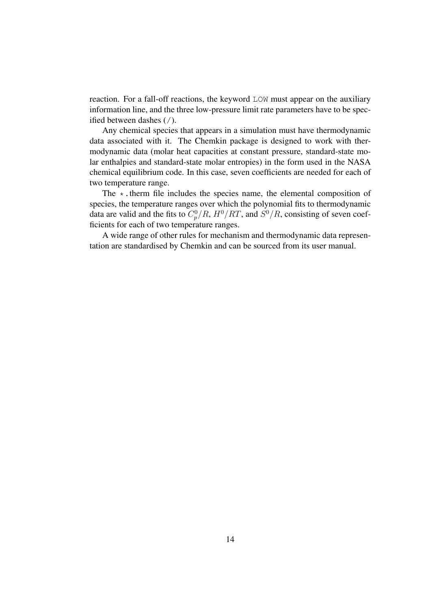reaction. For a fall-off reactions, the keyword LOW must appear on the auxiliary information line, and the three low-pressure limit rate parameters have to be specified between dashes (/).

Any chemical species that appears in a simulation must have thermodynamic data associated with it. The Chemkin package is designed to work with thermodynamic data (molar heat capacities at constant pressure, standard-state molar enthalpies and standard-state molar entropies) in the form used in the NASA chemical equilibrium code. In this case, seven coefficients are needed for each of two temperature range.

The  $\star$ . therm file includes the species name, the elemental composition of species, the temperature ranges over which the polynomial fits to thermodynamic data are valid and the fits to  $C_p^0/R$ ,  $H^0/RT$ , and  $S^0/R$ , consisting of seven coefficients for each of two temperature ranges.

A wide range of other rules for mechanism and thermodynamic data representation are standardised by Chemkin and can be sourced from its user manual.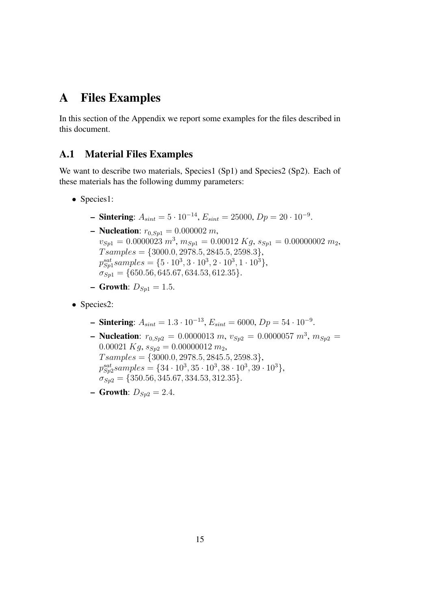#### A Files Examples

In this section of the Appendix we report some examples for the files described in this document.

#### A.1 Material Files Examples

We want to describe two materials, Species1 (Sp1) and Species2 (Sp2). Each of these materials has the following dummy parameters:

- Species1:
	- **− Sintering:**  $A_{sint} = 5 \cdot 10^{-14}$ ,  $E_{sint} = 25000$ ,  $Dp = 20 \cdot 10^{-9}$ .
	- **Nucleation**:  $r_{0,Sp1} = 0.000002 m$ ,  $v_{Sp1} = 0.0000023 m^3, m_{Sp1} = 0.00012 Kg, s_{Sp1} = 0.00000002 m_2,$  $T samples = \{3000.0, 2978.5, 2845.5, 2598.3\},\$  $p_{Sp1}^{sat} samples = \{5 \cdot 10^3, 3 \cdot 10^3, 2 \cdot 10^3, 1 \cdot 10^3\},\$  $\sigma_{Sn1} = \{650.56, 645.67, 634.53, 612.35\}.$
	- **Growth:**  $D_{Sp1} = 1.5$ .
- Species2:
	- **− Sintering:**  $A_{sint} = 1.3 \cdot 10^{-13}$ ,  $E_{sint} = 6000$ ,  $Dp = 54 \cdot 10^{-9}$ .
	- **Nucleation:**  $r_{0,Sp2} = 0.0000013 \ m, v_{Sp2} = 0.0000057 \ m^3, m_{Sp2} = 0.0000057 \ m^3$  $0.00021 Kg, s_{Sp2} = 0.00000012 m_2,$  $T samples = \{3000.0, 2978.5, 2845.5, 2598.3\},\$  $p_{Sp2}^{sat} samples = \{34 \cdot 10^3, 35 \cdot 10^3, 38 \cdot 10^3, 39 \cdot 10^3\},\$  $\sigma_{Sp2} = \{350.56, 345.67, 334.53, 312.35\}.$
	- **Growth:**  $D_{Sp2} = 2.4$ .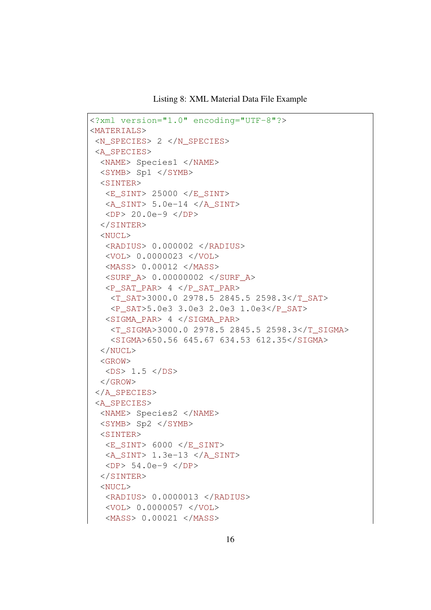Listing 8: XML Material Data File Example

```
<?xml version="1.0" encoding="UTF-8"?>
<MATERIALS>
 <N_SPECIES> 2 </N_SPECIES>
<A_SPECIES>
 <NAME> Species1 </NAME>
 <SYMB> Sp1 </SYMB>
 <SINTER>
  <E_SINT> 25000 </E_SINT>
  \langle A \text{ SINT} \rangle 5.0e-14 \langle A \text{ SINT} \rangle<DP> 20.0e-9 </DP>
 </SINTER>
  <NUCL>
   <RADIUS> 0.000002 </RADIUS>
   <VOL> 0.0000023 </VOL>
   <MASS> 0.00012 </MASS>
   <SURF_A> 0.00000002 </SURF_A>
   <P_SAT_PAR> 4 </P_SAT_PAR>
    <T_SAT>3000.0 2978.5 2845.5 2598.3</T_SAT>
    <P_SAT>5.0e3 3.0e3 2.0e3 1.0e3</P_SAT>
   <SIGMA_PAR> 4 </SIGMA_PAR>
    <T_SIGMA>3000.0 2978.5 2845.5 2598.3</T_SIGMA>
    <SIGMA>650.56 645.67 634.53 612.35</SIGMA>
  </NUCL>
  <GROW>
   <DS> 1.5 </DS>
  \langle GROW\rangle</A_SPECIES>
 <A_SPECIES>
 <NAME> Species2 </NAME>
 <SYMB> Sp2 </SYMB>
 <SINTER><E_SINT> 6000 </E_SINT>
   <A SINT> 1.3e-13 </A_SINT>
  <DP> 54.0e-9 </DP>
 </SINTER>
 <NUCL>
   <RADIUS> 0.0000013 </RADIUS>
   <VOL> 0.0000057 </VOL>
   <MASS> 0.00021 </MASS>
```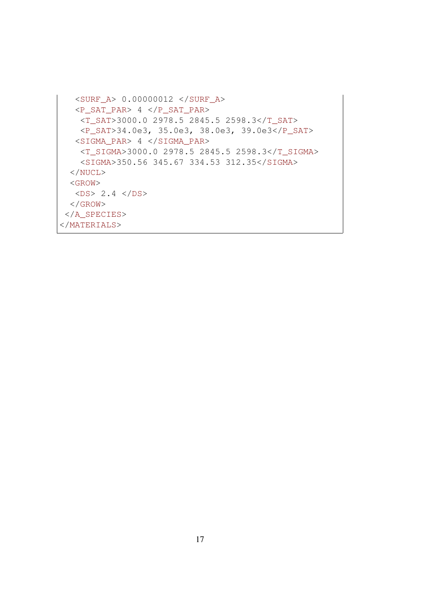```
<SURF_A> 0.00000012 </SURF_A>
  <P_SAT_PAR> 4 </P_SAT_PAR>
   <T_SAT>3000.0 2978.5 2845.5 2598.3</T_SAT>
   <P_SAT>34.0e3, 35.0e3, 38.0e3, 39.0e3</P_SAT>
  <SIGMA_PAR> 4 </SIGMA_PAR>
   <T_SIGMA>3000.0 2978.5 2845.5 2598.3</T_SIGMA>
   <SIGMA>350.56 345.67 334.53 312.35</SIGMA>
 </NUCL>
 <GROW>
  <DS> 2.4 </DS>
 \langle/GROW\rangle</A_SPECIES>
</MATERIALS>
```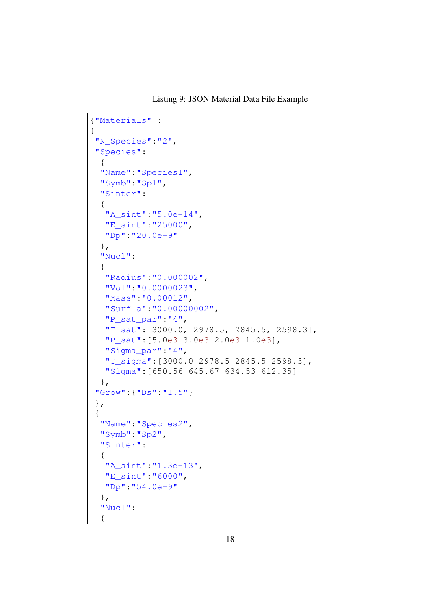Listing 9: JSON Material Data File Example

```
{"Materials" :
{
 "N_Species":"2",
 "Species":[
 {
 "Name":"Species1",
 "Symb":"Sp1",
 "Sinter":
 {
  "A_sint":"5.0e-14",
  "E_sint":"25000",
  "Dp":"20.0e-9"
 },
 "Nucl":
 {
  "Radius":"0.000002",
  "Vol":"0.0000023",
  "Mass":"0.00012",
  "Surf_a":"0.00000002",
  "P_sat_par":"4",
  "T_sat":[3000.0, 2978.5, 2845.5, 2598.3],
  "P_sat":[5.0e3 3.0e3 2.0e3 1.0e3],
  "Sigma_par":"4",
  "T_sigma":[3000.0 2978.5 2845.5 2598.3],
  "Sigma":[650.56 645.67 634.53 612.35]
 },
 "Grow":{"Ds":"1.5"}
},
{
 "Name":"Species2",
 "Symb":"Sp2",
 "Sinter":
 {
  "A_sint":"1.3e-13",
  "E_sint":"6000",
  "Dp":"54.0e-9"
 },
 "Nucl":
  {
```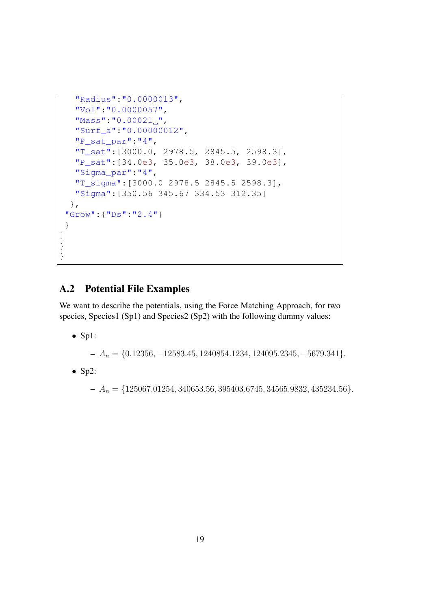```
"Radius":"0.0000013",
   "Vol":"0.0000057",
   "Mass":"0.00021,",
   "Surf_a":"0.00000012",
   "P_sat_par":"4",
   "T_sat":[3000.0, 2978.5, 2845.5, 2598.3],
   "P_sat":[34.0e3, 35.0e3, 38.0e3, 39.0e3],
   "Sigma_par":"4",
   "T_sigma":[3000.0 2978.5 2845.5 2598.3],
   "Sigma":[350.56 345.67 334.53 312.35]
  },
 "Grow":{"Ds":"2.4"}
 }
]
}
}
```
#### A.2 Potential File Examples

We want to describe the potentials, using the Force Matching Approach, for two species, Species1 (Sp1) and Species2 (Sp2) with the following dummy values:

• Sp1:

– A<sup>n</sup> = {0.12356, −12583.45, 1240854.1234, 124095.2345, −5679.341}.

 $\bullet$  Sp2:

 $A_n = \{125067.01254, 340653.56, 395403.6745, 34565.9832, 435234.56\}.$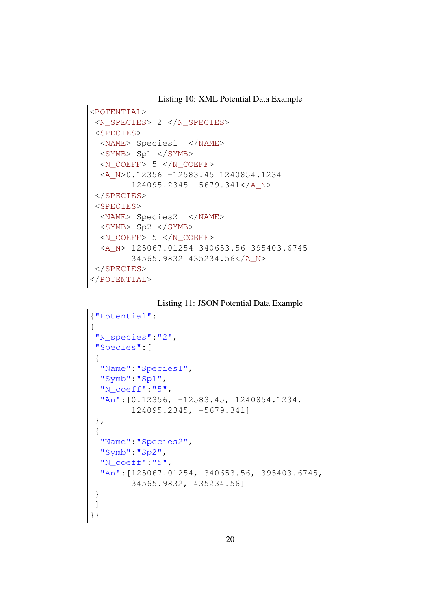Listing 10: XML Potential Data Example

```
<POTENTIAL>
<N_SPECIES> 2 </N_SPECIES>
<SPECIES>
 <NAME> Species1 </NAME>
 <SYMB> Sp1 </SYMB>
 \langle N \rangle COEFF> 5 \langle N \rangle COEFF>
 <A_N>0.12356 -12583.45 1240854.1234
        124095.2345 -5679.341</A_N>
</SPECIES>
<SPECIES>
 <NAME> Species2 </NAME>
 <SYMB> Sp2 </SYMB>
 \langle N COEFF> 5 \langle N COEFF>
  <A_N> 125067.01254 340653.56 395403.6745
        34565.9832 435234.56</A_N>
</SPECIES>
</POTENTIAL>
```
Listing 11: JSON Potential Data Example

```
{"Potential":
{
 "N_species":"2",
 "Species":[
{
 "Name":"Species1",
  "Symb":"Sp1",
 "N_coeff":"5",
 "An":[0.12356, -12583.45, 1240854.1234,
        124095.2345, -5679.341]
},
{
 "Name":"Species2",
  "Symb":"Sp2",
 "N_coeff":"5",
 "An":[125067.01254, 340653.56, 395403.6745,
        34565.9832, 435234.56]
}
]
}}
```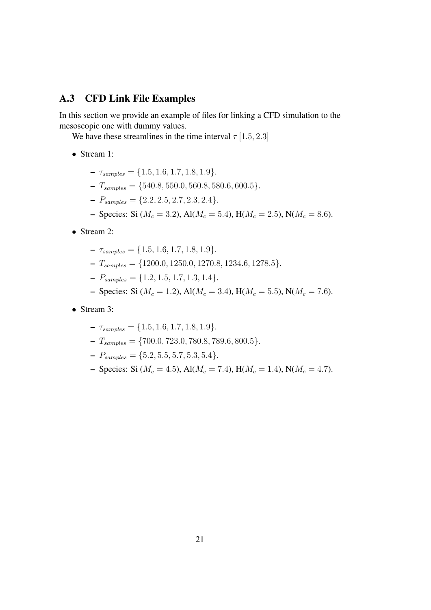#### A.3 CFD Link File Examples

In this section we provide an example of files for linking a CFD simulation to the mesoscopic one with dummy values.

We have these streamlines in the time interval  $\tau$  [1.5, 2.3]

- Stream 1:
	- $\tau_{samples} = \{1.5, 1.6, 1.7, 1.8, 1.9\}.$
	- $T_{samples} = \{540.8, 550.0, 560.8, 580.6, 600.5\}.$
	- $P_{samples} = \{2.2, 2.5, 2.7, 2.3, 2.4\}.$
	- Species: Si ( $M_c = 3.2$ ), Al( $M_c = 5.4$ ), H( $M_c = 2.5$ ), N( $M_c = 8.6$ ).
- Stream 2:
	- $\tau_{samples} = \{1.5, 1.6, 1.7, 1.8, 1.9\}.$
	- $T_{samples} = \{1200.0, 1250.0, 1270.8, 1234.6, 1278.5\}.$
	- $-P_{samples} = \{1.2, 1.5, 1.7, 1.3, 1.4\}.$
	- Species: Si ( $M_c = 1.2$ ), Al( $M_c = 3.4$ ), H( $M_c = 5.5$ ), N( $M_c = 7.6$ ).
- Stream 3:
	- $\tau_{samples} = \{1.5, 1.6, 1.7, 1.8, 1.9\}.$
	- $-T_{samples} = \{700.0, 723.0, 780.8, 789.6, 800.5\}.$
	- $-P_{samples} = \{5.2, 5.5, 5.7, 5.3, 5.4\}.$
	- Species: Si ( $M_c = 4.5$ ), Al( $M_c = 7.4$ ), H( $M_c = 1.4$ ), N( $M_c = 4.7$ ).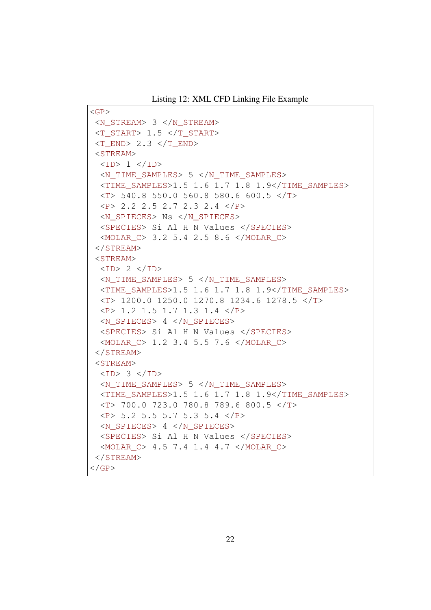```
\langleGP><N_STREAM> 3 </N_STREAM>
\langle T START> 1.5 \langle T START>
\langle T END> 2.3 \langle T END>
<STREAM>
 <ID> 1 </ID>
 <N_TIME_SAMPLES> 5 </N_TIME_SAMPLES>
 <TIME_SAMPLES>1.5 1.6 1.7 1.8 1.9</TIME_SAMPLES>
 <T> 540.8 550.0 560.8 580.6 600.5 </T>
 \langle P \rangle 2.2 2.5 2.7 2.3 2.4 \langle P \rangle<N_SPIECES> Ns </N_SPIECES>
  <SPECIES> Si Al H N Values </SPECIES>
 <MOLAR_C> 3.2 5.4 2.5 8.6 </MOLAR_C>
 </STREAM>
<STREAM>
 <ID> 2 </ID>
 <N_TIME_SAMPLES> 5 </N_TIME_SAMPLES>
 <TIME_SAMPLES>1.5 1.6 1.7 1.8 1.9</TIME_SAMPLES>
 <T> 1200.0 1250.0 1270.8 1234.6 1278.5 </T>
 \langle P \rangle 1.2 1.5 1.7 1.3 1.4 \langle P \rangle<N_SPIECES> 4 </N_SPIECES>
 <SPECIES> Si Al H N Values </SPECIES>
 <MOLAR_C> 1.2 3.4 5.5 7.6 </MOLAR_C>
</STREAM>
<STREAM><ID> 3 </ID>
 <N_TIME_SAMPLES> 5 </N_TIME_SAMPLES>
 <TIME_SAMPLES>1.5 1.6 1.7 1.8 1.9</TIME_SAMPLES>
 <T> 700.0 723.0 780.8 789.6 800.5 </T>
 \langle P \rangle 5.2 5.5 5.7 5.3 5.4 \langle P \rangle<N_SPIECES> 4 </N_SPIECES>
 <SPECIES> Si Al H N Values </SPECIES>
 <MOLAR_C> 4.5 7.4 1.4 4.7 </MOLAR_C>
</STREAM>
\langle GP>
```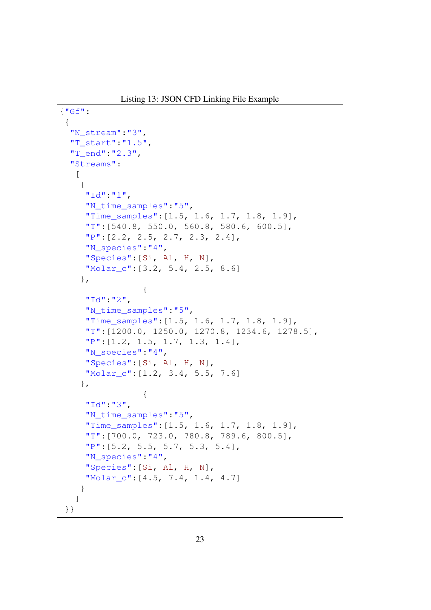Listing 13: JSON CFD Linking File Example

```
{"Gf":
{
 "N_stream":"3",
 "T_start":"1.5",
 "T_end":"2.3",
 "Streams":
  \sqrt{2}{
    "Id":"1",
    "N time samples":"5",
    "Time_samples":[1.5, 1.6, 1.7, 1.8, 1.9],
    "T":[540.8, 550.0, 560.8, 580.6, 600.5],
    "P": [2.2, 2.5, 2.7, 2.3, 2.4],
    "N_species":"4",
    "Species":[Si, Al, H, N],
    "Molar_c":[3.2, 5.4, 2.5, 8.6]
   },
                {
    "Id":"2",
    "N_time_samples":"5",
     "Time_samples":[1.5, 1.6, 1.7, 1.8, 1.9],
     "T":[1200.0, 1250.0, 1270.8, 1234.6, 1278.5],
     "P":[1.2, 1.5, 1.7, 1.3, 1.4],
     "N_species":"4",
    "Species":[Si, Al, H, N],
    "Molar_c":[1.2, 3.4, 5.5, 7.6]
   },
                {
    "Id":"3",
     "N_time_samples":"5",
     "Time_samples":[1.5, 1.6, 1.7, 1.8, 1.9],
     "T":[700.0, 723.0, 780.8, 789.6, 800.5],
     "P":[5.2, 5.5, 5.7, 5.3, 5.4],
    "N_species":"4",
     "Species":[Si, Al, H, N],
    "Molar c": [4.5, 7.4, 1.4, 4.7]
   }
  ]
}}
```